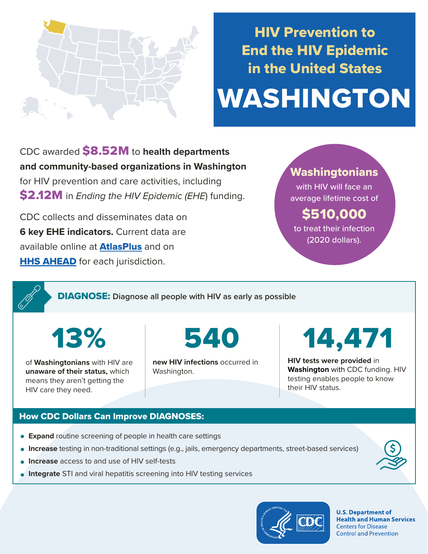

## HIV Prevention to End the HIV Epidemic in the United States

# WASHINGTON

CDC awarded \$8.52M to **health departments and community-based organizations in Washington**  for HIV prevention and care activities, including \$2.12M in *Ending the HIV Epidemic (EHE*) funding.

CDC collects and disseminates data on **6 key EHE indicators.** Current data are available online at **[AtlasPlus](https://www.cdc.gov/nchhstp/atlas/index.htm)** and on **[HHS AHEAD](https://ahead.hiv.gov/)** for each jurisdiction.

### Washingtonians

with HIV will face an average lifetime cost of

## \$510,000

to treat their infection (2020 dollars).

DIAGNOSE: **Diagnose all people with HIV as early as possible** 

13%

.

of **Washingtonians** with HIV are **unaware of their status,** which means they aren't getting the HIV care they need.

540

**new HIV infections** occurred in Washington.

## 14,471

**HIV tests were provided** in **Washington** with CDC funding. HIV testing enables people to know their HIV status.

#### How CDC Dollars Can Improve DIAGNOSES:

- **Expand** routine screening of people in health care settings
- **Increase** testing in non-traditional settings (e.g., jails, emergency departments, street-based services)
- **Increase** access to and use of HIV self-tests
- **Integrate** STI and viral hepatitis screening into HIV testing services



**U.S. Department of Health and Human Services Centers for Disease Control and Prevention**